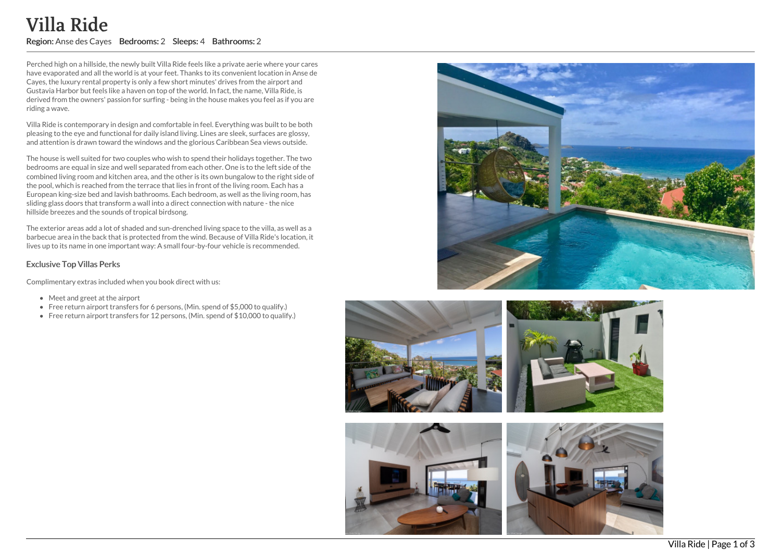## Villa Ride

Region: Anse des Cayes Bedrooms: 2 Sleeps: 4 Bathrooms: 2

Perched high on a hillside, the newly built Villa Ride feels like a private aerie where your cares have evaporated and all the world is at your feet. Thanks to its convenient location in Anse de Cayes, the luxury rental property is only a few short minutes' drives from the airport and Gustavia Harbor but feels like a haven on top of the world. In fact, the name, Villa Ride, is derived from the owners' passion for surfing - being in the house makes you feel as if you are riding a wave.

Villa Ride is contemporary in design and comfortable in feel. Everything was built to be both pleasing to the eye and functional for daily island living. Lines are sleek, surfaces are glossy, and attention is drawn toward the windows and the glorious Caribbean Sea views outside.

The house is well suited for two couples who wish to spend their holidays together. The two bedrooms are equal in size and well separated from each other. One is to the left side of the combined living room and kitchen area, and the other is its own bungalow to the right side of the pool, which is reached from the terrace that lies in front of the living room. Each has a European king-size bed and lavish bathrooms. Each bedroom, as well as the living room, has sliding glass doors that transform a wall into a direct connection with nature - the nice hillside breezes and the sounds of tropical birdsong.

The exterior areas add a lot of shaded and sun-drenched living space to the villa, as well as a barbecue area in the back that is protected from the wind. Because of Villa Ride's location, it lives up to its name in one important way: A small four-by-four vehicle is recommended.

## Exclusive Top Villas Perks

Complimentary extras included when you book direct with us:

- Meet and greet at the airport
- Free return airport transfers for 6 persons, (Min. spend of \$5,000 to qualify.)
- Free return airport transfers for 12 persons, (Min. spend of \$10,000 to qualify.)



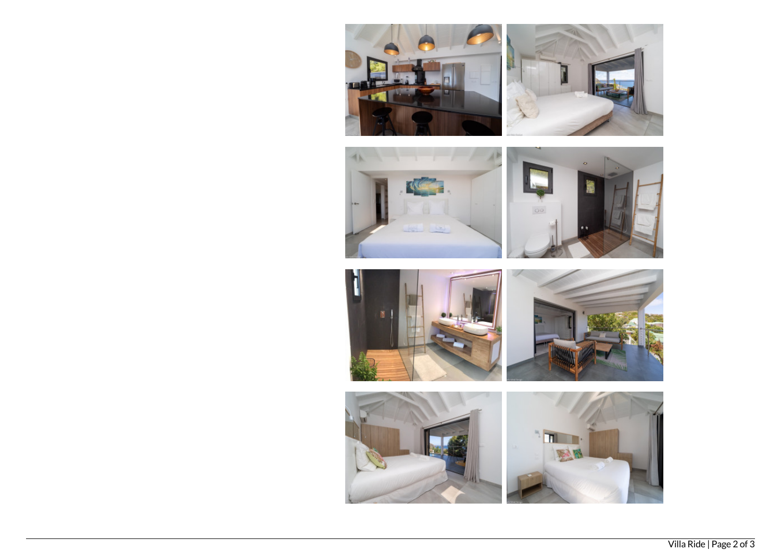